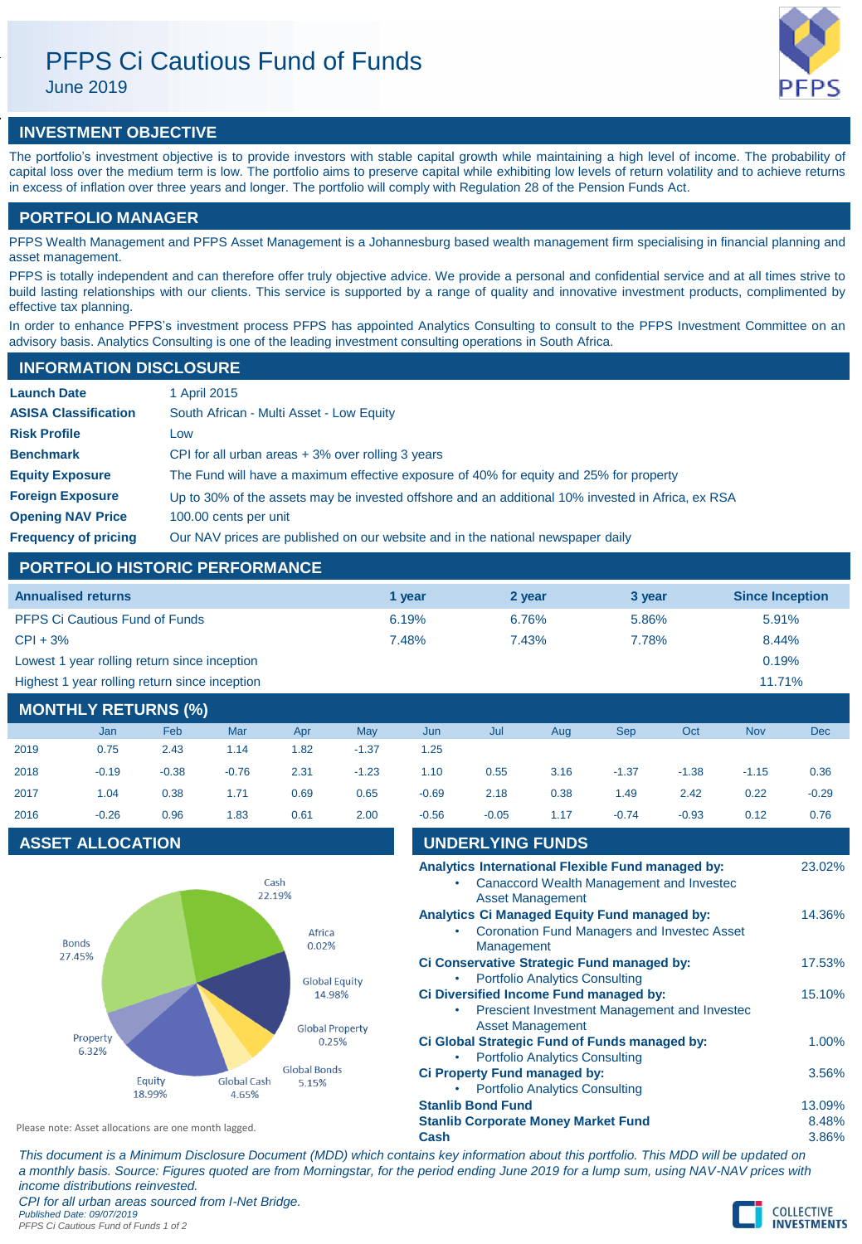# PFPS Ci Cautious Fund of Funds

June 2019



## **INVESTMENT OBJECTIVE**

The portfolio's investment objective is to provide investors with stable capital growth while maintaining a high level of income. The probability of capital loss over the medium term is low. The portfolio aims to preserve capital while exhibiting low levels of return volatility and to achieve returns in excess of inflation over three years and longer. The portfolio will comply with Regulation 28 of the Pension Funds Act.

## **PORTFOLIO MANAGER**

PFPS Wealth Management and PFPS Asset Management is a Johannesburg based wealth management firm specialising in financial planning and asset management.

PFPS is totally independent and can therefore offer truly objective advice. We provide a personal and confidential service and at all times strive to build lasting relationships with our clients. This service is supported by a range of quality and innovative investment products, complimented by effective tax planning.

In order to enhance PFPS's investment process PFPS has appointed Analytics Consulting to consult to the PFPS Investment Committee on an advisory basis. Analytics Consulting is one of the leading investment consulting operations in South Africa.

## **INFORMATION DISCLOSURE**

| <b>Launch Date</b>          | 1 April 2015                                                                                      |
|-----------------------------|---------------------------------------------------------------------------------------------------|
| <b>ASISA Classification</b> | South African - Multi Asset - Low Equity                                                          |
| <b>Risk Profile</b>         | Low                                                                                               |
| <b>Benchmark</b>            | CPI for all urban areas $+3\%$ over rolling 3 years                                               |
| <b>Equity Exposure</b>      | The Fund will have a maximum effective exposure of 40% for equity and 25% for property            |
| <b>Foreign Exposure</b>     | Up to 30% of the assets may be invested offshore and an additional 10% invested in Africa, ex RSA |
| <b>Opening NAV Price</b>    | 100.00 cents per unit                                                                             |
| <b>Frequency of pricing</b> | Our NAV prices are published on our website and in the national newspaper daily                   |

## **PORTFOLIO HISTORIC PERFORMANCE**

| <b>Annualised returns</b>                     | 1 vear | 2 year | 3 year | <b>Since Inception</b> |
|-----------------------------------------------|--------|--------|--------|------------------------|
| <b>PFPS Ci Cautious Fund of Funds</b>         | 6.19%  | 6.76%  | 5.86%  | 5.91%                  |
| $CPI + 3%$                                    | 7.48%  | 7.43%  | 7.78%  | 8.44%                  |
| Lowest 1 year rolling return since inception  |        |        |        | 0.19%                  |
| Highest 1 year rolling return since inception |        |        |        | 11.71%                 |

## **MONTHLY RETURNS (%)**

|      | <b>Jan</b> | Feb     | Mar     | Apr  | May     | Jun     | Jul     | Aug  | <b>Sep</b> | Oct     | <b>Nov</b> | <b>Dec</b> |
|------|------------|---------|---------|------|---------|---------|---------|------|------------|---------|------------|------------|
| 2019 | 0.75       | 2.43    | 1.14    | 1.82 | $-1.37$ | 1.25    |         |      |            |         |            |            |
| 2018 | $-0.19$    | $-0.38$ | $-0.76$ | 2.31 | $-1.23$ | 1.10    | 0.55    | 3.16 | $-1.37$    | $-1.38$ | $-1.15$    | 0.36       |
| 2017 | 1.04       | 0.38    | 1.71    | 0.69 | 0.65    | $-0.69$ | 2.18    | 0.38 | 1.49       | 2.42    | 0.22       | $-0.29$    |
| 2016 | $-0.26$    | 0.96    | 1.83    | 0.61 | 2.00    | $-0.56$ | $-0.05$ | 1.17 | $-0.74$    | $-0.93$ | 0.12       | 0.76       |

## **ASSET ALLOCATION**



| 2016                                                 | $-0.26$                 | 0.96             | 1.83                        | 0.61                            | 2.00                                                                                     | $-0.56$                                                                | $-0.05$                      | 1.17                                                             | $-0.74$                                                                                              | $-0.93$ | 0.12            | 0.76   |
|------------------------------------------------------|-------------------------|------------------|-----------------------------|---------------------------------|------------------------------------------------------------------------------------------|------------------------------------------------------------------------|------------------------------|------------------------------------------------------------------|------------------------------------------------------------------------------------------------------|---------|-----------------|--------|
|                                                      | <b>ASSET ALLOCATION</b> |                  |                             |                                 |                                                                                          |                                                                        | <b>UNDERLYING FUNDS</b>      |                                                                  |                                                                                                      |         |                 |        |
|                                                      |                         |                  | Cash<br>22.19%              |                                 |                                                                                          |                                                                        |                              | <b>Asset Management</b>                                          | Analytics International Flexible Fund managed by:<br><b>Canaccord Wealth Management and Invested</b> |         |                 | 23.02% |
|                                                      | <b>Bonds</b>            |                  |                             | Africa<br>0.02%                 |                                                                                          | ٠                                                                      | Management                   |                                                                  | Analytics Ci Managed Equity Fund managed by:<br><b>Coronation Fund Managers and Investec Asset</b>   |         |                 | 14.36% |
| 27.45%                                               |                         |                  | <b>Global Equity</b>        |                                 | Ci Conservative Strategic Fund managed by:<br><b>Portfolio Analytics Consulting</b><br>٠ |                                                                        |                              |                                                                  |                                                                                                      |         | 17.53%          |        |
|                                                      |                         |                  |                             | 14.98%                          |                                                                                          |                                                                        |                              |                                                                  | Ci Diversified Income Fund managed by:<br>Prescient Investment Management and Invested               |         |                 | 15.10% |
|                                                      | Property<br>6.32%       |                  |                             | <b>Global Property</b><br>0.25% |                                                                                          |                                                                        |                              | <b>Asset Management</b><br><b>Portfolio Analytics Consulting</b> | Ci Global Strategic Fund of Funds managed by:                                                        |         |                 | 1.00%  |
|                                                      |                         | Equity<br>18.99% | <b>Global Cash</b><br>4.65% | <b>Global Bonds</b><br>5.15%    |                                                                                          | ٠                                                                      | Ci Property Fund managed by: | <b>Portfolio Analytics Consulting</b>                            |                                                                                                      |         |                 | 3.56%  |
| Please note: Asset allocations are one month lagged. |                         |                  |                             |                                 |                                                                                          | <b>Stanlib Bond Fund</b><br><b>Stanlib Corporate Money Market Fund</b> |                              |                                                                  |                                                                                                      |         | 13.09%<br>8.48% |        |
|                                                      |                         |                  |                             |                                 |                                                                                          | Cash                                                                   |                              |                                                                  |                                                                                                      |         |                 | 3.86%  |

*This document is a Minimum Disclosure Document (MDD) which contains key information about this portfolio. This MDD will be updated on a monthly basis. Source: Figures quoted are from Morningstar, for the period ending June 2019 for a lump sum, using NAV-NAV prices with income distributions reinvested. CPI for all urban areas sourced from I-Net Bridge.*

*Published Date: 09/07/2019 PFPS Ci Cautious Fund of Funds 1 of 2*